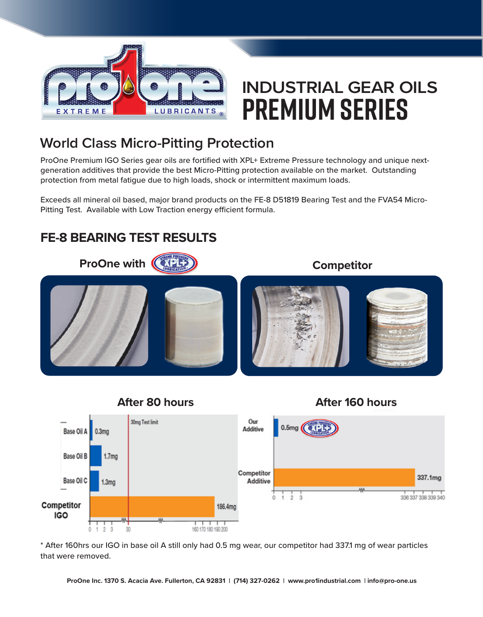

## **INDUSTRIAL GEAR OILS PREMIUM Series**

### **World Class Micro-Pitting Protection**

ProOne Premium IGO Series gear oils are fortified with XPL+ Extreme Pressure technology and unique nextgeneration additives that provide the best Micro-Pitting protection available on the market. Outstanding protection from metal fatigue due to high loads, shock or intermittent maximum loads.

Exceeds all mineral oil based, major brand products on the FE-8 D51819 Bearing Test and the FVA54 Micro-Pitting Test. Available with Low Traction energy efficient formula.

#### **FE-8 BEARING TEST RESULTS**





\* After 160hrs our IGO in base oil A still only had 0.5 mg wear, our competitor had 337.1 mg of wear particles that were removed.